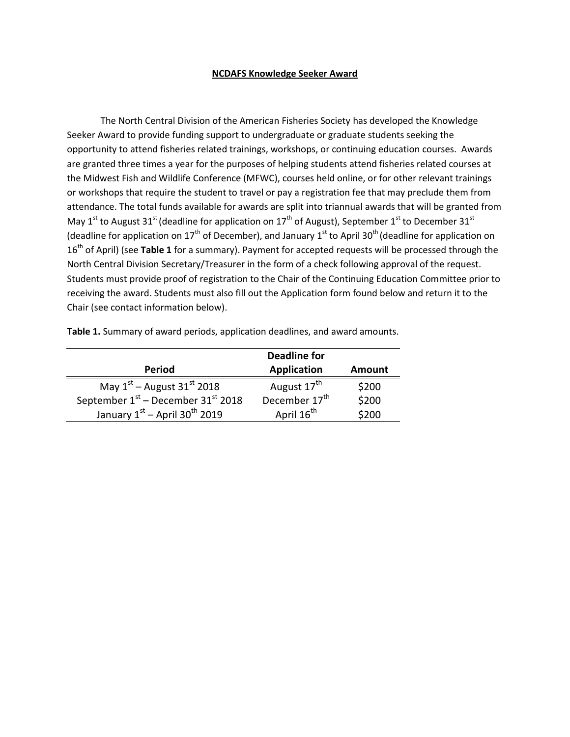## **NCDAFS Knowledge Seeker Award**

The North Central Division of the American Fisheries Society has developed the Knowledge Seeker Award to provide funding support to undergraduate or graduate students seeking the opportunity to attend fisheries related trainings, workshops, or continuing education courses. Awards are granted three times a year for the purposes of helping students attend fisheries related courses at the Midwest Fish and Wildlife Conference (MFWC), courses held online, or for other relevant trainings or workshops that require the student to travel or pay a registration fee that may preclude them from attendance. The total funds available for awards are split into triannual awards that will be granted from May 1<sup>st</sup> to August 31<sup>st</sup> (deadline for application on 17<sup>th</sup> of August), September 1<sup>st</sup> to December 31<sup>st</sup> (deadline for application on 17<sup>th</sup> of December), and January 1<sup>st</sup> to April 30<sup>th</sup> (deadline for application on 16<sup>th</sup> of April) (see **Table 1** for a summary). Payment for accepted requests will be processed through the North Central Division Secretary/Treasurer in the form of a check following approval of the request. Students must provide proof of registration to the Chair of the Continuing Education Committee prior to receiving the award. Students must also fill out the Application form found below and return it to the Chair (see contact information below).

| Table 1. Summary of award periods, application deadlines, and award amounts. |  |  |  |
|------------------------------------------------------------------------------|--|--|--|
|------------------------------------------------------------------------------|--|--|--|

|                                                  | <b>Deadline for</b>       |        |  |
|--------------------------------------------------|---------------------------|--------|--|
| <b>Period</b>                                    | <b>Application</b>        | Amount |  |
| May $1st$ – August 31 <sup>st</sup> 2018         | August 17 <sup>th</sup>   | \$200  |  |
| September $1st$ – December 31 <sup>st</sup> 2018 | December 17 <sup>th</sup> | \$200  |  |
| January $1^{st}$ – April 30 <sup>th</sup> 2019   | April 16 <sup>th</sup>    | \$200  |  |